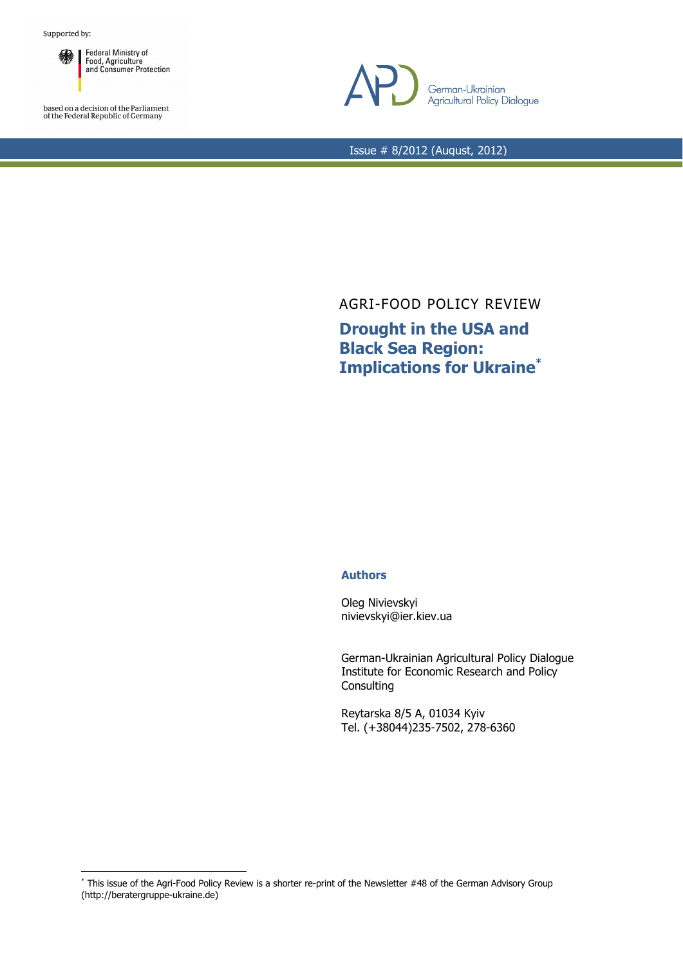

based on a decision of the Parliament<br>of the Federal Republic of Germany

 $\overline{a}$ 



Issue # 8/2012 (August, 2012)

AGRI-FOOD POLICY REVIEW

**Drought in the USA and Black Sea Region: Implications for Ukraine\***

## **Authors**

Oleg Nivievskyi nivievskyi@ier.kiev.ua

German-Ukrainian Agricultural Policy Dialogue Institute for Economic Research and Policy **Consulting** 

Reytarska 8/5 A, 01034 Kyiv Tel. (+38044)235-7502, 278-6360

<sup>\*</sup> This issue of the Agri-Food Policy Review is a shorter re-print of the Newsletter #48 of the German Advisory Group (http://beratergruppe-ukraine.de)